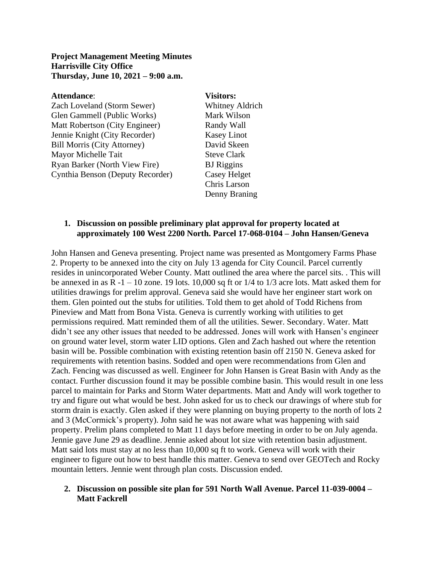## **Project Management Meeting Minutes Harrisville City Office Thursday, June 10, 2021 – 9:00 a.m.**

### **Attendance**: **Visitors:**

Zach Loveland (Storm Sewer) Whitney Aldrich Glen Gammell (Public Works) Mark Wilson Matt Robertson (City Engineer) Randy Wall Jennie Knight (City Recorder) Kasey Linot Bill Morris (City Attorney) David Skeen Mayor Michelle Tait Steve Clark Ryan Barker (North View Fire) BJ Riggins Cynthia Benson (Deputy Recorder) Casey Helget

Chris Larson Denny Braning

## **1. Discussion on possible preliminary plat approval for property located at approximately 100 West 2200 North. Parcel 17-068-0104 – John Hansen/Geneva**

John Hansen and Geneva presenting. Project name was presented as Montgomery Farms Phase 2. Property to be annexed into the city on July 13 agenda for City Council. Parcel currently resides in unincorporated Weber County. Matt outlined the area where the parcel sits. . This will be annexed in as  $R -1 - 10$  zone. 19 lots. 10,000 sq ft or  $1/4$  to  $1/3$  acre lots. Matt asked them for utilities drawings for prelim approval. Geneva said she would have her engineer start work on them. Glen pointed out the stubs for utilities. Told them to get ahold of Todd Richens from Pineview and Matt from Bona Vista. Geneva is currently working with utilities to get permissions required. Matt reminded them of all the utilities. Sewer. Secondary. Water. Matt didn't see any other issues that needed to be addressed. Jones will work with Hansen's engineer on ground water level, storm water LID options. Glen and Zach hashed out where the retention basin will be. Possible combination with existing retention basin off 2150 N. Geneva asked for requirements with retention basins. Sodded and open were recommendations from Glen and Zach. Fencing was discussed as well. Engineer for John Hansen is Great Basin with Andy as the contact. Further discussion found it may be possible combine basin. This would result in one less parcel to maintain for Parks and Storm Water departments. Matt and Andy will work together to try and figure out what would be best. John asked for us to check our drawings of where stub for storm drain is exactly. Glen asked if they were planning on buying property to the north of lots 2 and 3 (McCormick's property). John said he was not aware what was happening with said property. Prelim plans completed to Matt 11 days before meeting in order to be on July agenda. Jennie gave June 29 as deadline. Jennie asked about lot size with retention basin adjustment. Matt said lots must stay at no less than 10,000 sq ft to work. Geneva will work with their engineer to figure out how to best handle this matter. Geneva to send over GEOTech and Rocky mountain letters. Jennie went through plan costs. Discussion ended.

# **2. Discussion on possible site plan for 591 North Wall Avenue. Parcel 11-039-0004 – Matt Fackrell**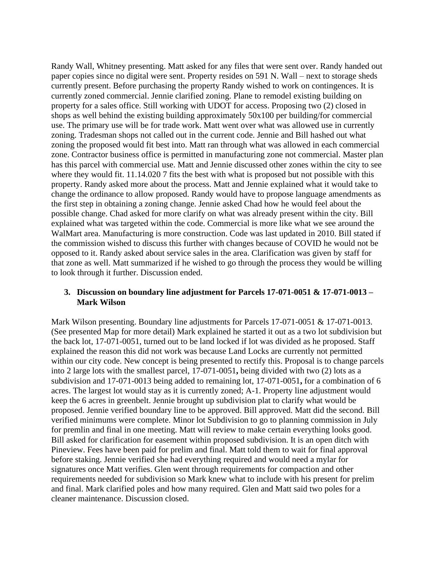Randy Wall, Whitney presenting. Matt asked for any files that were sent over. Randy handed out paper copies since no digital were sent. Property resides on 591 N. Wall – next to storage sheds currently present. Before purchasing the property Randy wished to work on contingences. It is currently zoned commercial. Jennie clarified zoning. Plane to remodel existing building on property for a sales office. Still working with UDOT for access. Proposing two (2) closed in shops as well behind the existing building approximately 50x100 per building/for commercial use. The primary use will be for trade work. Matt went over what was allowed use in currently zoning. Tradesman shops not called out in the current code. Jennie and Bill hashed out what zoning the proposed would fit best into. Matt ran through what was allowed in each commercial zone. Contractor business office is permitted in manufacturing zone not commercial. Master plan has this parcel with commercial use. Matt and Jennie discussed other zones within the city to see where they would fit. 11.14.020 7 fits the best with what is proposed but not possible with this property. Randy asked more about the process. Matt and Jennie explained what it would take to change the ordinance to allow proposed. Randy would have to propose language amendments as the first step in obtaining a zoning change. Jennie asked Chad how he would feel about the possible change. Chad asked for more clarify on what was already present within the city. Bill explained what was targeted within the code. Commercial is more like what we see around the WalMart area. Manufacturing is more construction. Code was last updated in 2010. Bill stated if the commission wished to discuss this further with changes because of COVID he would not be opposed to it. Randy asked about service sales in the area. Clarification was given by staff for that zone as well. Matt summarized if he wished to go through the process they would be willing to look through it further. Discussion ended.

#### **3. Discussion on boundary line adjustment for Parcels 17-071-0051 & 17-071-0013 – Mark Wilson**

Mark Wilson presenting. Boundary line adjustments for Parcels 17-071-0051 & 17-071-0013. (See presented Map for more detail) Mark explained he started it out as a two lot subdivision but the back lot, 17-071-0051, turned out to be land locked if lot was divided as he proposed. Staff explained the reason this did not work was because Land Locks are currently not permitted within our city code. New concept is being presented to rectify this. Proposal is to change parcels into 2 large lots with the smallest parcel, 17-071-0051**,** being divided with two (2) lots as a subdivision and 17-071-0013 being added to remaining lot, 17-071-0051**,** for a combination of 6 acres. The largest lot would stay as it is currently zoned; A-1. Property line adjustment would keep the 6 acres in greenbelt. Jennie brought up subdivision plat to clarify what would be proposed. Jennie verified boundary line to be approved. Bill approved. Matt did the second. Bill verified minimums were complete. Minor lot Subdivision to go to planning commission in July for premlin and final in one meeting. Matt will review to make certain everything looks good. Bill asked for clarification for easement within proposed subdivision. It is an open ditch with Pineview. Fees have been paid for prelim and final. Matt told them to wait for final approval before staking. Jennie verified she had everything required and would need a mylar for signatures once Matt verifies. Glen went through requirements for compaction and other requirements needed for subdivision so Mark knew what to include with his present for prelim and final. Mark clarified poles and how many required. Glen and Matt said two poles for a cleaner maintenance. Discussion closed.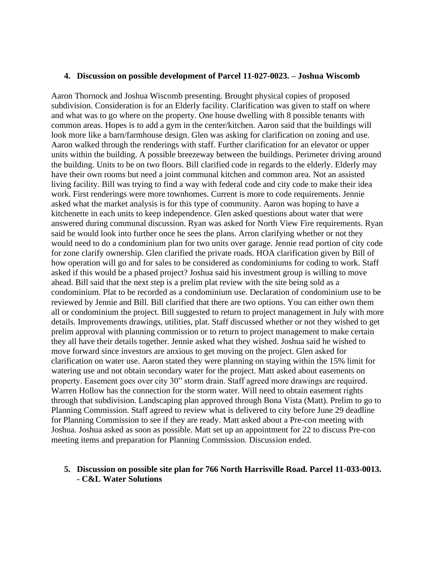#### **4. Discussion on possible development of Parcel 11-027-0023. – Joshua Wiscomb**

Aaron Thornock and Joshua Wiscomb presenting. Brought physical copies of proposed subdivision. Consideration is for an Elderly facility. Clarification was given to staff on where and what was to go where on the property. One house dwelling with 8 possible tenants with common areas. Hopes is to add a gym in the center/kitchen. Aaron said that the buildings will look more like a barn/farmhouse design. Glen was asking for clarification on zoning and use. Aaron walked through the renderings with staff. Further clarification for an elevator or upper units within the building. A possible breezeway between the buildings. Perimeter driving around the building. Units to be on two floors. Bill clarified code in regards to the elderly. Elderly may have their own rooms but need a joint communal kitchen and common area. Not an assisted living facility. Bill was trying to find a way with federal code and city code to make their idea work. First renderings were more townhomes. Current is more to code requirements. Jennie asked what the market analysis is for this type of community. Aaron was hoping to have a kitchenette in each units to keep independence. Glen asked questions about water that were answered during communal discussion. Ryan was asked for North View Fire requirements. Ryan said he would look into further once he sees the plans. Arron clarifying whether or not they would need to do a condominium plan for two units over garage. Jennie read portion of city code for zone clarify ownership. Glen clarified the private roads. HOA clarification given by Bill of how operation will go and for sales to be considered as condominiums for coding to work. Staff asked if this would be a phased project? Joshua said his investment group is willing to move ahead. Bill said that the next step is a prelim plat review with the site being sold as a condominium. Plat to be recorded as a condominium use. Declaration of condominium use to be reviewed by Jennie and Bill. Bill clarified that there are two options. You can either own them all or condominium the project. Bill suggested to return to project management in July with more details. Improvements drawings, utilities, plat. Staff discussed whether or not they wished to get prelim approval with planning commission or to return to project management to make certain they all have their details together. Jennie asked what they wished. Joshua said he wished to move forward since investors are anxious to get moving on the project. Glen asked for clarification on water use. Aaron stated they were planning on staying within the 15% limit for watering use and not obtain secondary water for the project. Matt asked about easements on property. Easement goes over city 30" storm drain. Staff agreed more drawings are required. Warren Hollow has the connection for the storm water. Will need to obtain easement rights through that subdivision. Landscaping plan approved through Bona Vista (Matt). Prelim to go to Planning Commission. Staff agreed to review what is delivered to city before June 29 deadline for Planning Commission to see if they are ready. Matt asked about a Pre-con meeting with Joshua. Joshua asked as soon as possible. Matt set up an appointment for 22 to discuss Pre-con meeting items and preparation for Planning Commission. Discussion ended.

#### **5. Discussion on possible site plan for 766 North Harrisville Road. Parcel 11-033-0013. - C&L Water Solutions**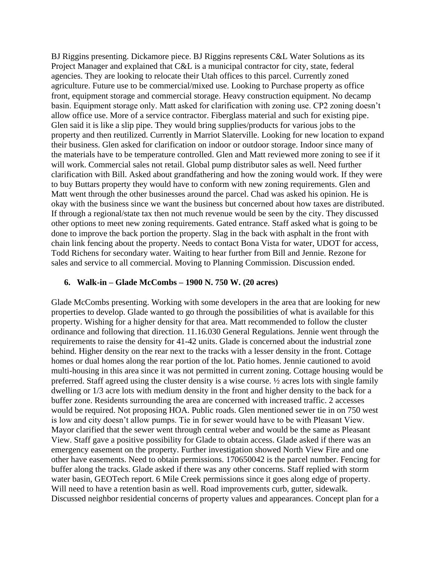BJ Riggins presenting. Dickamore piece. BJ Riggins represents C&L Water Solutions as its Project Manager and explained that C&L is a municipal contractor for city, state, federal agencies. They are looking to relocate their Utah offices to this parcel. Currently zoned agriculture. Future use to be commercial/mixed use. Looking to Purchase property as office front, equipment storage and commercial storage. Heavy construction equipment. No decamp basin. Equipment storage only. Matt asked for clarification with zoning use. CP2 zoning doesn't allow office use. More of a service contractor. Fiberglass material and such for existing pipe. Glen said it is like a slip pipe. They would bring supplies/products for various jobs to the property and then reutilized. Currently in Marriot Slaterville. Looking for new location to expand their business. Glen asked for clarification on indoor or outdoor storage. Indoor since many of the materials have to be temperature controlled. Glen and Matt reviewed more zoning to see if it will work. Commercial sales not retail. Global pump distributor sales as well. Need further clarification with Bill. Asked about grandfathering and how the zoning would work. If they were to buy Buttars property they would have to conform with new zoning requirements. Glen and Matt went through the other businesses around the parcel. Chad was asked his opinion. He is okay with the business since we want the business but concerned about how taxes are distributed. If through a regional/state tax then not much revenue would be seen by the city. They discussed other options to meet new zoning requirements. Gated entrance. Staff asked what is going to be done to improve the back portion the property. Slag in the back with asphalt in the front with chain link fencing about the property. Needs to contact Bona Vista for water, UDOT for access, Todd Richens for secondary water. Waiting to hear further from Bill and Jennie. Rezone for sales and service to all commercial. Moving to Planning Commission. Discussion ended.

#### **6. Walk-in – Glade McCombs – 1900 N. 750 W. (20 acres)**

Glade McCombs presenting. Working with some developers in the area that are looking for new properties to develop. Glade wanted to go through the possibilities of what is available for this property. Wishing for a higher density for that area. Matt recommended to follow the cluster ordinance and following that direction. 11.16.030 General Regulations. Jennie went through the requirements to raise the density for 41-42 units. Glade is concerned about the industrial zone behind. Higher density on the rear next to the tracks with a lesser density in the front. Cottage homes or dual homes along the rear portion of the lot. Patio homes. Jennie cautioned to avoid multi-housing in this area since it was not permitted in current zoning. Cottage housing would be preferred. Staff agreed using the cluster density is a wise course. ½ acres lots with single family dwelling or 1/3 acre lots with medium density in the front and higher density to the back for a buffer zone. Residents surrounding the area are concerned with increased traffic. 2 accesses would be required. Not proposing HOA. Public roads. Glen mentioned sewer tie in on 750 west is low and city doesn't allow pumps. Tie in for sewer would have to be with Pleasant View. Mayor clarified that the sewer went through central weber and would be the same as Pleasant View. Staff gave a positive possibility for Glade to obtain access. Glade asked if there was an emergency easement on the property. Further investigation showed North View Fire and one other have easements. Need to obtain permissions. 170650042 is the parcel number. Fencing for buffer along the tracks. Glade asked if there was any other concerns. Staff replied with storm water basin, GEOTech report. 6 Mile Creek permissions since it goes along edge of property. Will need to have a retention basin as well. Road improvements curb, gutter, sidewalk. Discussed neighbor residential concerns of property values and appearances. Concept plan for a